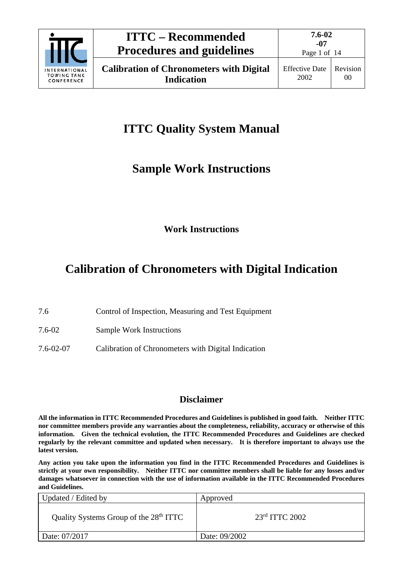

**7.6-02 -07**

## **ITTC Quality System Manual**

## **Sample Work Instructions**

**Work Instructions**

## **Calibration of Chronometers with Digital Indication**

7.6 Control of Inspection, Measuring and Test Equipment

7.6-02 Sample Work Instructions

7.6-02-07 Calibration of Chronometers with Digital Indication

### **Disclaimer**

**All the information in ITTC Recommended Procedures and Guidelines is published in good faith. Neither ITTC nor committee members provide any warranties about the completeness, reliability, accuracy or otherwise of this information. Given the technical evolution, the ITTC Recommended Procedures and Guidelines are checked regularly by the relevant committee and updated when necessary. It is therefore important to always use the latest version.**

**Any action you take upon the information you find in the ITTC Recommended Procedures and Guidelines is strictly at your own responsibility. Neither ITTC nor committee members shall be liable for any losses and/or damages whatsoever in connection with the use of information available in the ITTC Recommended Procedures and Guidelines.**

| Updated / Edited by                                | Approved           |
|----------------------------------------------------|--------------------|
| Quality Systems Group of the 28 <sup>th</sup> ITTC | $23rd$ ITTC $2002$ |
| Date: 07/2017                                      | Date: 09/2002      |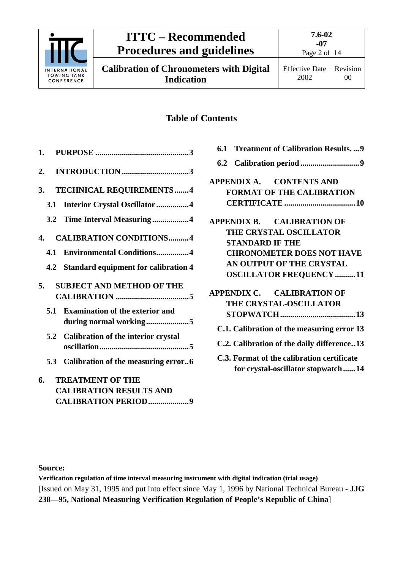

**Calibration of Chronometers with Digital Indication**

## **Table of Contents**

|    | 3.  | <b>TECHNICAL REQUIREMENTS4</b>                                   |
|----|-----|------------------------------------------------------------------|
|    | 3.1 | Interior Crystal Oscillator4                                     |
|    |     | 3.2 Time Interval Measuring4                                     |
| 4. |     | <b>CALIBRATION CONDITIONS4</b>                                   |
|    | 4.1 | <b>Environmental Conditions4</b>                                 |
|    |     | 4.2 Standard equipment for calibration 4                         |
|    | 5.  | <b>SUBJECT AND METHOD OF THE</b>                                 |
|    | 5.1 | <b>Examination of the exterior and</b><br>during normal working5 |
|    |     | 5.2 Calibration of the interior crystal                          |
|    |     | 5.3 Calibration of the measuring error6                          |
| 6. |     | <b>TREATMENT OF THE</b>                                          |
|    |     | <b>CALIBRATION RESULTS AND</b>                                   |
|    |     | CALIBRATION PERIOD9                                              |

|                        | 6.1 Treatment of Calibration Results.  9   |
|------------------------|--------------------------------------------|
|                        |                                            |
|                        | APPENDIX A. CONTENTS AND                   |
|                        | <b>FORMAT OF THE CALIBRATION</b>           |
|                        |                                            |
|                        | APPENDIX B. CALIBRATION OF                 |
|                        | THE CRYSTAL OSCILLATOR                     |
| <b>STANDARD IF THE</b> |                                            |
|                        | <b>CHRONOMETER DOES NOT HAVE</b>           |
|                        | AN OUTPUT OF THE CRYSTAL                   |
|                        | <b>OSCILLATOR FREQUENCY 11</b>             |
|                        | APPENDIX C. CALIBRATION OF                 |
|                        | THE CRYSTAL-OSCILLATOR                     |
|                        |                                            |
|                        | C.1. Calibration of the measuring error 13 |
|                        | C.2. Calibration of the daily difference13 |
|                        | C.3. Format of the calibration certificate |
|                        | for crystal-oscillator stopwatch14         |

### **Source:**

**Verification regulation of time interval measuring instrument with digital indication (trial usage)** [Issued on May 31, 1995 and put into effect since May 1, 1996 by National Technical Bureau - **JJG 238—95, National Measuring Verification Regulation of People's Republic of China**]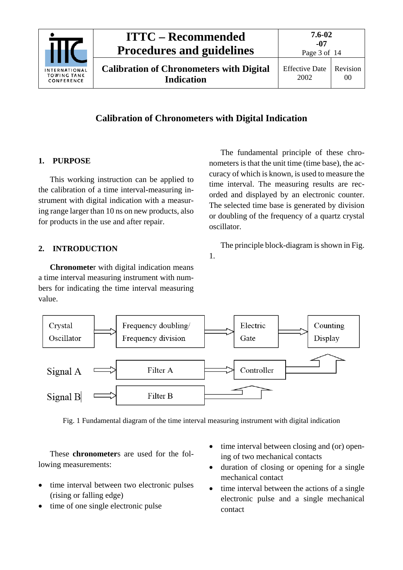

### **Calibration of Chronometers with Digital Indication**

### <span id="page-2-0"></span>**1. PURPOSE**

This working instruction can be applied to the calibration of a time interval-measuring instrument with digital indication with a measuring range larger than 10 ns on new products, also for products in the use and after repair.

### <span id="page-2-1"></span>**2. INTRODUCTION**

**Chronomete**r with digital indication means a time interval measuring instrument with numbers for indicating the time interval measuring value.

The fundamental principle of these chronometers is that the unit time (time base), the accuracy of which is known, is used to measure the time interval. The measuring results are recorded and displayed by an electronic counter. The selected time base is generated by division or doubling of the frequency of a quartz crystal oscillator.

The principle block-diagram is shown in Fig.

1.



Fig. 1 Fundamental diagram of the time interval measuring instrument with digital indication

These **chronometer**s are used for the following measurements:

- time interval between two electronic pulses (rising or falling edge)
- time of one single electronic pulse
- time interval between closing and (or) opening of two mechanical contacts
- duration of closing or opening for a single mechanical contact
- time interval between the actions of a single electronic pulse and a single mechanical contact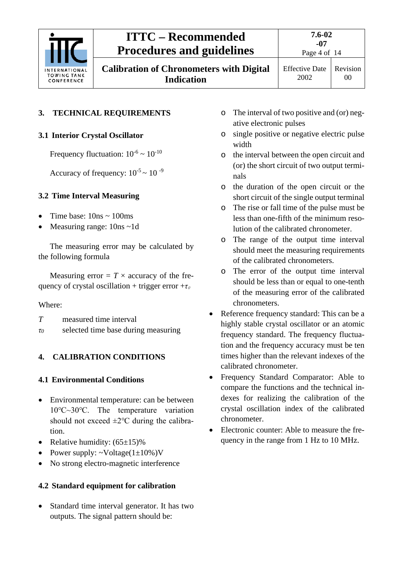

**Calibration of Chronometers with Digital Indication**

**7.6-02**

Effective Date 2002

## <span id="page-3-1"></span><span id="page-3-0"></span>**3. TECHNICAL REQUIREMENTS**

### **3.1 Interior Crystal Oscillator**

Frequency fluctuation:  $10^{-6} \sim 10^{-10}$ 

Accuracy of frequency:  $10^{-5} \sim 10^{-9}$ 

### <span id="page-3-2"></span>**3.2 Time Interval Measuring**

- Time base:  $10ns \sim 100ms$
- Measuring range: 10ns ~1d

The measuring error may be calculated by the following formula

Measuring error  $= T \times$  accuracy of the frequency of crystal oscillation + trigger error + $\tau$ <sup>0</sup>

### Where:

- *T* measured time interval
- <span id="page-3-3"></span>*τ<sup>0</sup>* selected time base during measuring

### <span id="page-3-4"></span>**4. CALIBRATION CONDITIONS**

### **4.1 Environmental Conditions**

- Environmental temperature: can be between 10℃~30℃. The temperature variation should not exceed  $\pm 2$ °C during the calibration.
- Relative humidity:  $(65\pm15)\%$
- Power supply:  $\sim$ Voltage(1±10%)V
- No strong electro-magnetic interference

### <span id="page-3-5"></span>**4.2 Standard equipment for calibration**

• Standard time interval generator. It has two outputs. The signal pattern should be:

- o The interval of two positive and (or) negative electronic pulses
- o single positive or negative electric pulse width
- o the interval between the open circuit and (or) the short circuit of two output terminals
- o the duration of the open circuit or the short circuit of the single output terminal
- o The rise or fall time of the pulse must be less than one-fifth of the minimum resolution of the calibrated chronometer.
- o The range of the output time interval should meet the measuring requirements of the calibrated chronometers.
- o The error of the output time interval should be less than or equal to one-tenth of the measuring error of the calibrated chronometers.
- Reference frequency standard: This can be a highly stable crystal oscillator or an atomic frequency standard. The frequency fluctuation and the frequency accuracy must be ten times higher than the relevant indexes of the calibrated chronometer.
- Frequency Standard Comparator: Able to compare the functions and the technical indexes for realizing the calibration of the crystal oscillation index of the calibrated chronometer.
- Electronic counter: Able to measure the frequency in the range from 1 Hz to 10 MHz.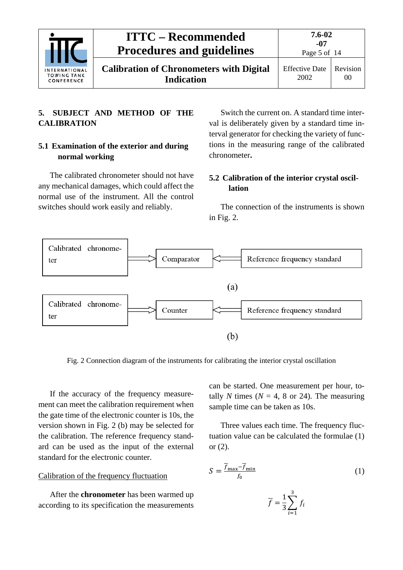

**Calibration of Chronometers with Digital Indication**

Page 5 of 14

### <span id="page-4-0"></span>**5. SUBJECT AND METHOD OF THE CALIBRATION**

### <span id="page-4-1"></span>**5.1 Examination of the exterior and during normal working**

The calibrated chronometer should not have any mechanical damages, which could affect the normal use of the instrument. All the control switches should work easily and reliably.

Switch the current on. A standard time interval is deliberately given by a standard time interval generator for checking the variety of functions in the measuring range of the calibrated chronometer**.**

### <span id="page-4-2"></span>**5.2 Calibration of the interior crystal oscillation**

The connection of the instruments is shown in Fig. 2.



Fig. 2 Connection diagram of the instruments for calibrating the interior crystal oscillation

If the accuracy of the frequency measurement can meet the calibration requirement when the gate time of the electronic counter is 10s, the version shown in Fig. 2 (b) may be selected for the calibration. The reference frequency standard can be used as the input of the external standard for the electronic counter.

### Calibration of the frequency fluctuation

After the **chronometer** has been warmed up according to its specification the measurements

can be started. One measurement per hour, totally *N* times ( $N = 4$ , 8 or 24). The measuring sample time can be taken as 10s.

Three values each time. The frequency fluctuation value can be calculated the formulae (1) or (2).

$$
S = \frac{\overline{f}_{\text{max}} - \overline{f}_{\text{min}}}{f_0} \tag{1}
$$

$$
\overline{f} = \frac{1}{3} \sum_{i=1}^{3} f_i
$$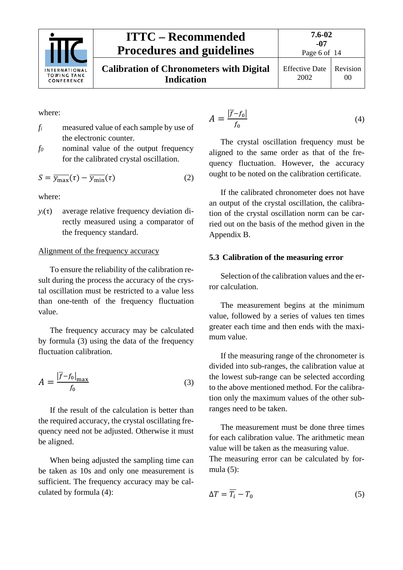

00

where:

- *fi* measured value of each sample by use of the electronic counter.
- *f0* nominal value of the output frequency for the calibrated crystal oscillation.

$$
S = \overline{y_{\text{max}}}(\tau) - \overline{y_{\text{min}}}(\tau) \tag{2}
$$

where:

 $y_i(\tau)$  average relative frequency deviation directly measured using a comparator of the frequency standard.

### Alignment of the frequency accuracy

To ensure the reliability of the calibration result during the process the accuracy of the crystal oscillation must be restricted to a value less than one-tenth of the frequency fluctuation value.

The frequency accuracy may be calculated by formula (3) using the data of the frequency fluctuation calibration.

$$
A = \frac{|\overline{f} - f_0|_{\text{max}}}{f_0} \tag{3}
$$

If the result of the calculation is better than the required accuracy, the crystal oscillating frequency need not be adjusted. Otherwise it must be aligned.

When being adjusted the sampling time can be taken as 10s and only one measurement is sufficient. The frequency accuracy may be calculated by formula (4):

$$
A = \frac{|\overline{f} - f_0|}{f_0} \tag{4}
$$

The crystal oscillation frequency must be aligned to the same order as that of the frequency fluctuation. However, the accuracy ought to be noted on the calibration certificate.

If the calibrated chronometer does not have an output of the crystal oscillation, the calibration of the crystal oscillation norm can be carried out on the basis of the method given in the Appendix B.

### <span id="page-5-0"></span>**5.3 Calibration of the measuring error**

Selection of the calibration values and the error calculation.

The measurement begins at the minimum value, followed by a series of values ten times greater each time and then ends with the maximum value.

If the measuring range of the chronometer is divided into sub-ranges, the calibration value at the lowest sub-range can be selected according to the above mentioned method. For the calibration only the maximum values of the other subranges need to be taken.

The measurement must be done three times for each calibration value. The arithmetic mean value will be taken as the measuring value. The measuring error can be calculated by formula (5):

$$
\Delta T = \overline{T_i} - T_0 \tag{5}
$$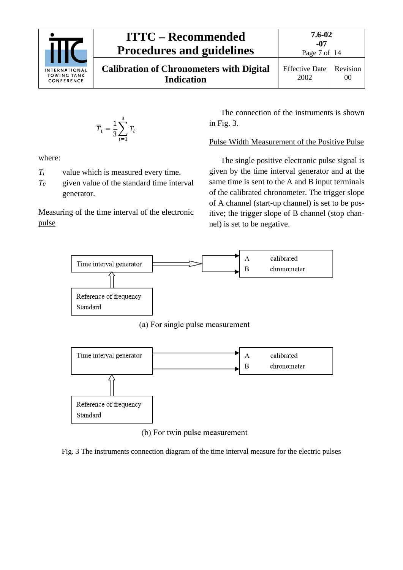

$$
\overline{T}_i = \frac{1}{3} \sum_{i=1}^3 T_i
$$

where:

- *Ti* value which is measured every time.
- *T0* given value of the standard time interval generator.

Measuring of the time interval of the electronic pulse

The connection of the instruments is shown in Fig. 3.

### Pulse Width Measurement of the Positive Pulse

The single positive electronic pulse signal is given by the time interval generator and at the same time is sent to the A and B input terminals of the calibrated chronometer. The trigger slope of A channel (start-up channel) is set to be positive; the trigger slope of B channel (stop channel) is set to be negative.



(a) For single pulse measurement



(b) For twin pulse measurement

Fig. 3 The instruments connection diagram of the time interval measure for the electric pulses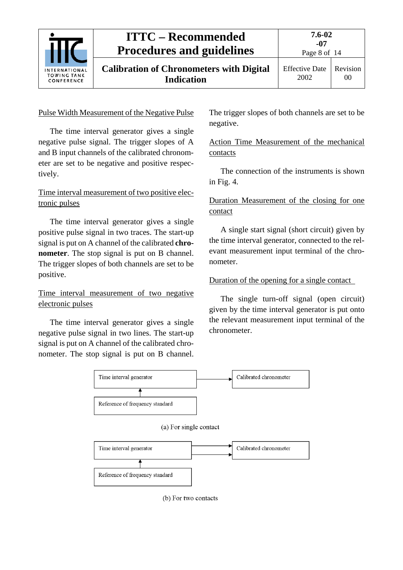

### Pulse Width Measurement of the Negative Pulse

The time interval generator gives a single negative pulse signal. The trigger slopes of A and B input channels of the calibrated chronometer are set to be negative and positive respectively.

### Time interval measurement of two positive electronic pulses

The time interval generator gives a single positive pulse signal in two traces. The start-up signal is put on A channel of the calibrated **chronometer**. The stop signal is put on B channel. The trigger slopes of both channels are set to be positive.

### Time interval measurement of two negative electronic pulses

The time interval generator gives a single negative pulse signal in two lines. The start-up signal is put on A channel of the calibrated chronometer. The stop signal is put on B channel.

The trigger slopes of both channels are set to be negative.

### Action Time Measurement of the mechanical contacts

The connection of the instruments is shown in Fig. 4.

### Duration Measurement of the closing for one contact

A single start signal (short circuit) given by the time interval generator, connected to the relevant measurement input terminal of the chronometer.

### Duration of the opening for a single contact

The single turn-off signal (open circuit) given by the time interval generator is put onto the relevant measurement input terminal of the chronometer.



(b) For two contacts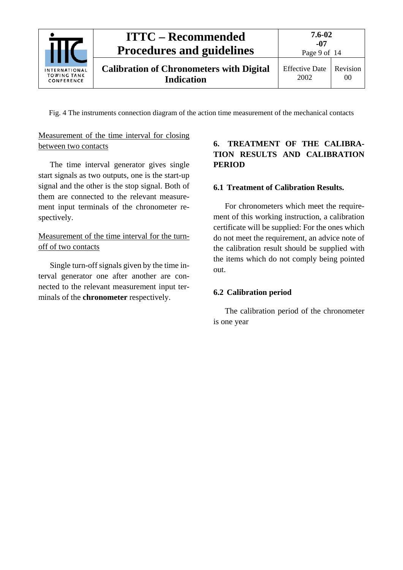

Fig. 4 The instruments connection diagram of the action time measurement of the mechanical contacts

### Measurement of the time interval for closing between two contacts

The time interval generator gives single start signals as two outputs, one is the start-up signal and the other is the stop signal. Both of them are connected to the relevant measurement input terminals of the chronometer respectively.

### Measurement of the time interval for the turnoff of two contacts

Single turn-off signals given by the time interval generator one after another are connected to the relevant measurement input terminals of the **chronometer** respectively.

### <span id="page-8-0"></span>**6. TREATMENT OF THE CALIBRA-TION RESULTS AND CALIBRATION PERIOD**

### <span id="page-8-1"></span>**6.1 Treatment of Calibration Results.**

For chronometers which meet the requirement of this working instruction, a calibration certificate will be supplied: For the ones which do not meet the requirement, an advice note of the calibration result should be supplied with the items which do not comply being pointed out.

### <span id="page-8-2"></span>**6.2 Calibration period**

The calibration period of the chronometer is one year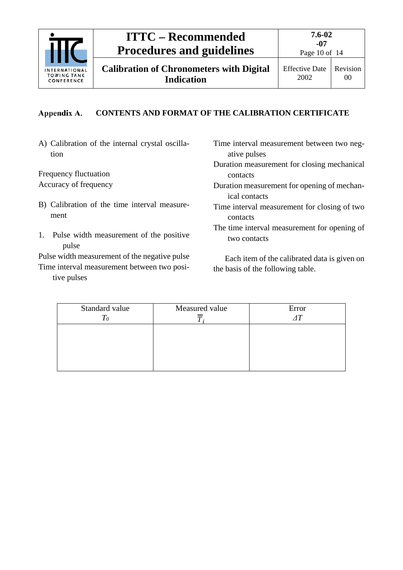

**Calibration of Chronometers with Digital Indication**

Effective Date 2002

#### <span id="page-9-0"></span>Appendix A. **CONTENTS AND FORMAT OF THE CALIBRATION CERTIFICATE**

A) Calibration of the internal crystal oscillation

Frequency fluctuation Accuracy of frequency

- B) Calibration of the time interval measurement
- 1. Pulse width measurement of the positive pulse

Pulse width measurement of the negative pulse Time interval measurement between two posi-

tive pulses

Time interval measurement between two negative pulses

Duration measurement for closing mechanical contacts

- Duration measurement for opening of mechanical contacts
- Time interval measurement for closing of two contacts
- The time interval measurement for opening of two contacts

Each item of the calibrated data is given on the basis of the following table.

| Standard value<br>$\mathit{T_0}$ | Measured value | Error<br>AT |
|----------------------------------|----------------|-------------|
|                                  |                |             |
|                                  |                |             |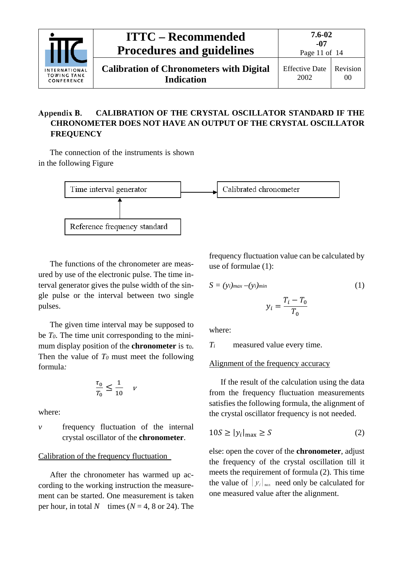|                                                   | <b>ITTC – Recommended</b><br><b>Procedures and guidelines</b>        | $7.6 - 02$<br>-07<br>Page 11 of $14$ |                |
|---------------------------------------------------|----------------------------------------------------------------------|--------------------------------------|----------------|
| INTERNATIONAL<br><b>TOWING TANK</b><br>CONFERENCE | <b>Calibration of Chronometers with Digital</b><br><b>Indication</b> | <b>Effective Date</b><br>2002        | Revision<br>00 |

#### <span id="page-10-0"></span>Appendix B. **CALIBRATION OF THE CRYSTAL OSCILLATOR STANDARD IF THE CHRONOMETER DOES NOT HAVE AN OUTPUT OF THE CRYSTAL OSCILLATOR FREQUENCY**

The connection of the instruments is shown in the following Figure



The functions of the chronometer are measured by use of the electronic pulse. The time interval generator gives the pulse width of the single pulse or the interval between two single pulses.

The given time interval may be supposed to be *T0*. The time unit corresponding to the minimum display position of the **chronometer** is  $\tau_0$ . Then the value of  $T_0$  must meet the following formula*:*

$$
\frac{\tau_0}{T_0} \le \frac{1}{10} \quad \nu
$$

where:

*v* frequency fluctuation of the internal crystal oscillator of the **chronometer**.

### Calibration of the frequency fluctuation

After the chronometer has warmed up according to the working instruction the measurement can be started. One measurement is taken per hour, in total *N* times ( $N = 4$ , 8 or 24). The

frequency fluctuation value can be calculated by use of formulae (1):

$$
S = (y_i)_{max} - (y_i)_{min}
$$

$$
y_i = \frac{T_i - T_0}{T_0}
$$

$$
(1)
$$

where:

*Ti* measured value every time.

Alignment of the frequency accuracy

If the result of the calculation using the data from the frequency fluctuation measurements satisfies the following formula, the alignment of the crystal oscillator frequency is not needed.

$$
10S \ge |y_i|_{\text{max}} \ge S \tag{2}
$$

else: open the cover of the **chronometer**, adjust the frequency of the crystal oscillation till it meets the requirement of formula (2). This time the value of  $|y_i|_{max}$  need only be calculated for one measured value after the alignment.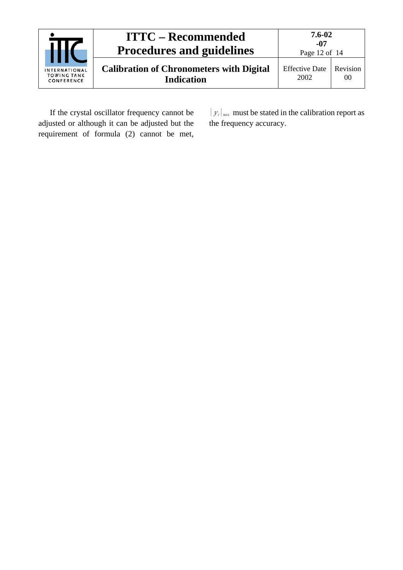

If the crystal oscillator frequency cannot be adjusted or although it can be adjusted but the requirement of formula (2) cannot be met,  $|y_i|_{\text{max}}$  must be stated in the calibration report as the frequency accuracy.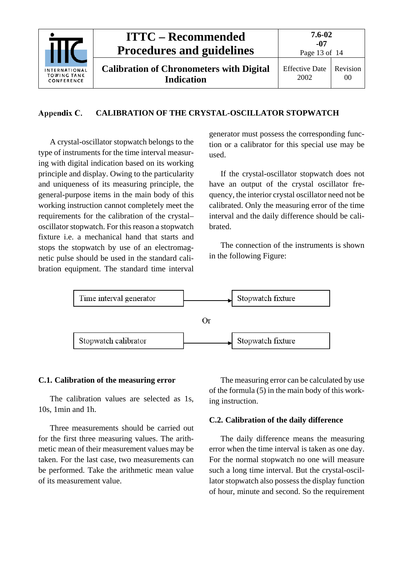

#### <span id="page-12-0"></span>Appendix C. **CALIBRATION OF THE CRYSTAL-OSCILLATOR STOPWATCH**

A crystal-oscillator stopwatch belongs to the type of instruments for the time interval measuring with digital indication based on its working principle and display. Owing to the particularity and uniqueness of its measuring principle, the general-purpose items in the main body of this working instruction cannot completely meet the requirements for the calibration of the crystal– oscillator stopwatch. For this reason a stopwatch fixture i.e. a mechanical hand that starts and stops the stopwatch by use of an electromagnetic pulse should be used in the standard calibration equipment. The standard time interval generator must possess the corresponding function or a calibrator for this special use may be used.

If the crystal-oscillator stopwatch does not have an output of the crystal oscillator frequency, the interior crystal oscillator need not be calibrated. Only the measuring error of the time interval and the daily difference should be calibrated.

The connection of the instruments is shown in the following Figure:



### <span id="page-12-1"></span>**C.1. Calibration of the measuring error**

The calibration values are selected as 1s, 10s, 1min and 1h.

Three measurements should be carried out for the first three measuring values. The arithmetic mean of their measurement values may be taken. For the last case, two measurements can be performed. Take the arithmetic mean value of its measurement value.

The measuring error can be calculated by use of the formula (5) in the main body of this working instruction.

### <span id="page-12-2"></span>**C.2. Calibration of the daily difference**

The daily difference means the measuring error when the time interval is taken as one day. For the normal stopwatch no one will measure such a long time interval. But the crystal-oscillator stopwatch also possess the display function of hour, minute and second. So the requirement